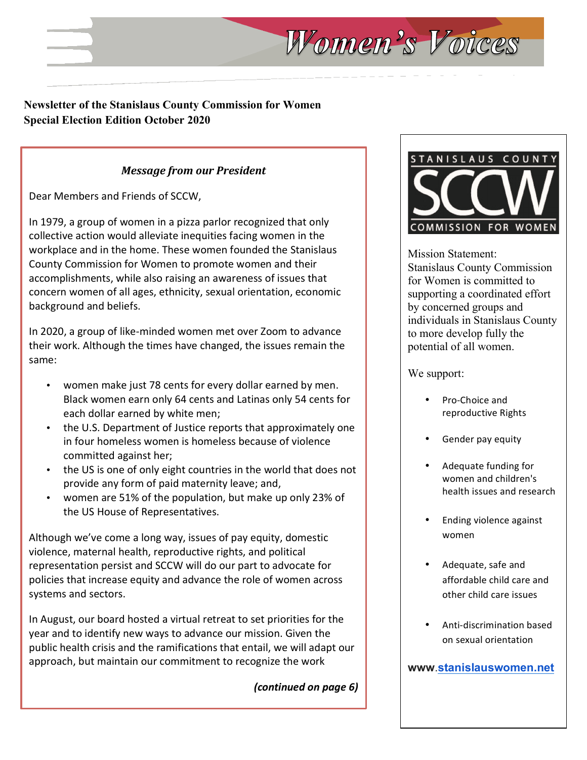### **Newsletter of the Stanislaus County Commission for Women Special Election Edition October 2020**

### *Message from our President*

Dear Members and Friends of SCCW,

In 1979, a group of women in a pizza parlor recognized that only collective action would alleviate inequities facing women in the workplace and in the home. These women founded the Stanislaus County Commission for Women to promote women and their accomplishments, while also raising an awareness of issues that concern women of all ages, ethnicity, sexual orientation, economic background and beliefs.

In 2020, a group of like-minded women met over Zoom to advance their work. Although the times have changed, the issues remain the same:

- women make just 78 cents for every dollar earned by men. Black women earn only 64 cents and Latinas only 54 cents for each dollar earned by white men;
- the U.S. Department of Justice reports that approximately one in four homeless women is homeless because of violence committed against her;
- the US is one of only eight countries in the world that does not provide any form of paid maternity leave; and,
- women are 51% of the population, but make up only 23% of the US House of Representatives.

Although we've come a long way, issues of pay equity, domestic violence, maternal health, reproductive rights, and political representation persist and SCCW will do our part to advocate for policies that increase equity and advance the role of women across systems and sectors.

In August, our board hosted a virtual retreat to set priorities for the year and to identify new ways to advance our mission. Given the public health crisis and the ramifications that entail, we will adapt our approach, but maintain our commitment to recognize the work

*(continued on page 6)*



Mission Statement: Stanislaus County Commission for Women is committed to supporting a coordinated effort by concerned groups and individuals in Stanislaus County to more develop fully the potential of all women.

We support:

Women's Voices

- Pro-Choice and reproductive Rights
- Gender pay equity
- Adequate funding for women and children's health issues and research
- **Ending violence against** women
- Adequate, safe and affordable child care and other child care issues
- Anti-discrimination based on sexual orientation

**www**.**stanislauswomen.net**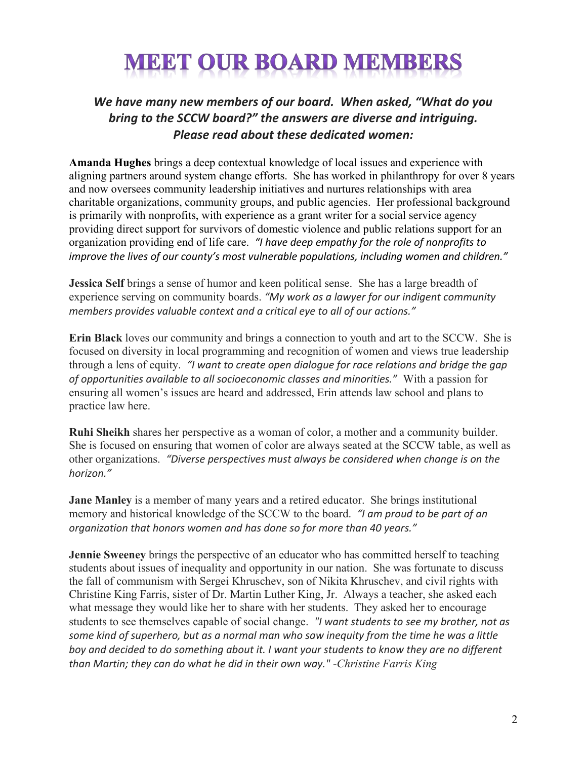# **MEET OUR BOARD MEMBERS**

# We have many new members of our board. When asked, "What do you *bring to the SCCW board?" the answers are diverse and intriguing.* **Please read about these dedicated women:**

**Amanda Hughes** brings a deep contextual knowledge of local issues and experience with aligning partners around system change efforts. She has worked in philanthropy for over 8 years and now oversees community leadership initiatives and nurtures relationships with area charitable organizations, community groups, and public agencies. Her professional background is primarily with nonprofits, with experience as a grant writer for a social service agency providing direct support for survivors of domestic violence and public relations support for an organization providing end of life care. *"I have deep empathy for the role of nonprofits to improve* the lives of our county's most vulnerable populations, including women and children."

**Jessica Self** brings a sense of humor and keen political sense. She has a large breadth of experience serving on community boards. "My work as a lawyer for our indigent community *members provides valuable context and a critical eye to all of our actions."* 

**Erin Black** loves our community and brings a connection to youth and art to the SCCW. She is focused on diversity in local programming and recognition of women and views true leadership through a lens of equity. *"I* want to create open dialogue for race relations and bridge the gap *of opportunities available to all socioeconomic classes and minorities."* With a passion for ensuring all women's issues are heard and addressed, Erin attends law school and plans to practice law here.

**Ruhi Sheikh** shares her perspective as a woman of color, a mother and a community builder. She is focused on ensuring that women of color are always seated at the SCCW table, as well as other organizations. *"Diverse perspectives must always be considered when change is on the horizon."*

**Jane Manley** is a member of many years and a retired educator. She brings institutional memory and historical knowledge of the SCCW to the board. *"I am proud to be part of an organization that honors women and has done so for more than 40 years."* 

**Jennie Sweeney** brings the perspective of an educator who has committed herself to teaching students about issues of inequality and opportunity in our nation. She was fortunate to discuss the fall of communism with Sergei Khruschev, son of Nikita Khruschev, and civil rights with Christine King Farris, sister of Dr. Martin Luther King, Jr. Always a teacher, she asked each what message they would like her to share with her students. They asked her to encourage students to see themselves capable of social change. *"I* want students to see my brother, not as some kind of superhero, but as a normal man who saw inequity from the time he was a little boy and decided to do something about it. I want your students to know they are no different *than Martin; they can do what he did in their own way." -Christine Farris King*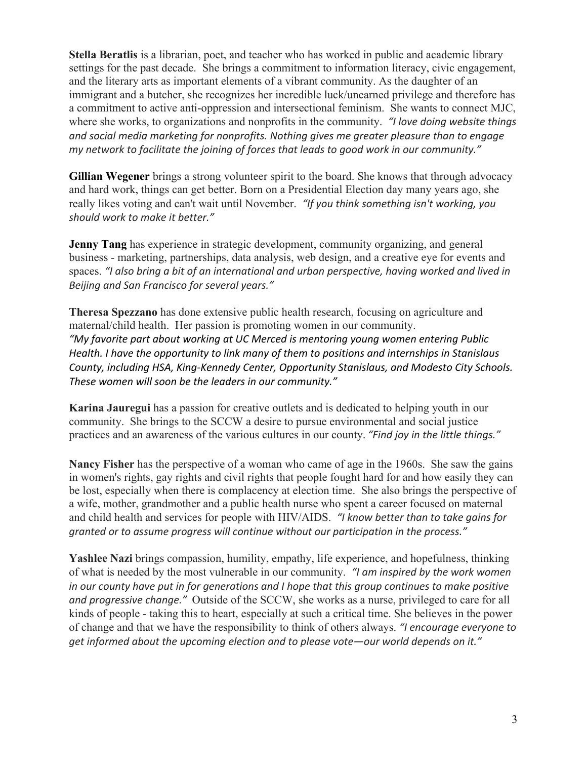**Stella Beratlis** is a librarian, poet, and teacher who has worked in public and academic library settings for the past decade. She brings a commitment to information literacy, civic engagement, and the literary arts as important elements of a vibrant community. As the daughter of an immigrant and a butcher, she recognizes her incredible luck/unearned privilege and therefore has a commitment to active anti-oppression and intersectional feminism. She wants to connect MJC, where she works, to organizations and nonprofits in the community. *"I love doing website things* and social media marketing for nonprofits. Nothing gives me greater pleasure than to engage *my network to facilitate the ioining of forces that leads to good work in our community."* 

**Gillian Wegener** brings a strong volunteer spirit to the board. She knows that through advocacy and hard work, things can get better. Born on a Presidential Election day many years ago, she really likes voting and can't wait until November. *"If you think something isn't working, you should work to make it better."*

**Jenny Tang** has experience in strategic development, community organizing, and general business - marketing, partnerships, data analysis, web design, and a creative eye for events and spaces. "I also bring a bit of an international and urban perspective, having worked and lived in *Beijing and San Francisco for several years."*

**Theresa Spezzano** has done extensive public health research, focusing on agriculture and maternal/child health. Her passion is promoting women in our community. *"My favorite part about working at UC Merced is mentoring young women entering Public Health. I have the opportunity to link many of them to positions and internships in Stanislaus* County, including HSA, King-Kennedy Center, Opportunity Stanislaus, and Modesto City Schools. These women will soon be the leaders in our community."

**Karina Jauregui** has a passion for creative outlets and is dedicated to helping youth in our community. She brings to the SCCW a desire to pursue environmental and social justice practices and an awareness of the various cultures in our county. "Find joy in the little things."

**Nancy Fisher** has the perspective of a woman who came of age in the 1960s. She saw the gains in women's rights, gay rights and civil rights that people fought hard for and how easily they can be lost, especially when there is complacency at election time. She also brings the perspective of a wife, mother, grandmother and a public health nurse who spent a career focused on maternal and child health and services for people with HIV/AIDS. *"I know better than to take gains for granted or to assume progress will continue without our participation in the process."* 

**Yashlee Nazi** brings compassion, humility, empathy, life experience, and hopefulness, thinking of what is needed by the most vulnerable in our community. *"I am inspired by the work women in* our county have put in for generations and I hope that this group continues to make positive *and progressive change."* Outside of the SCCW, she works as a nurse, privileged to care for all kinds of people - taking this to heart, especially at such a critical time. She believes in the power of change and that we have the responsibility to think of others always. *"I encourage everyone to* get informed about the upcoming election and to please vote—our world depends on it."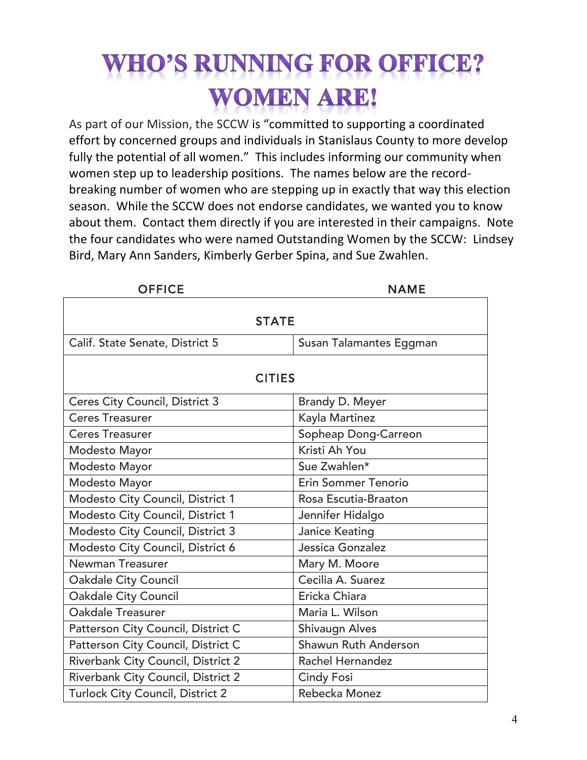# **HO'S RUNNING FOR OFFICE? WOMEN ARE!**

As part of our Mission, the SCCW is "committed to supporting a coordinated effort by concerned groups and individuals in Stanislaus County to more develop fully the potential of all women." This includes informing our community when women step up to leadership positions. The names below are the recordbreaking number of women who are stepping up in exactly that way this election season. While the SCCW does not endorse candidates, we wanted you to know about them. Contact them directly if you are interested in their campaigns. Note the four candidates who were named Outstanding Women by the SCCW: Lindsey Bird, Mary Ann Sanders, Kimberly Gerber Spina, and Sue Zwahlen.

| <b>OFFICE</b>                         | NAME                       |  |
|---------------------------------------|----------------------------|--|
|                                       |                            |  |
| <b>STATE</b>                          |                            |  |
| Calif. State Senate, District 5       | Susan Talamantes Eggman    |  |
|                                       |                            |  |
| <b>CITIES</b>                         |                            |  |
| <b>Ceres City Council, District 3</b> | Brandy D. Meyer            |  |
| <b>Ceres Treasurer</b>                | Kayla Martinez             |  |
| <b>Ceres Treasurer</b>                | Sopheap Dong-Carreon       |  |
| Modesto Mayor                         | Kristi Ah You              |  |
| Modesto Mayor                         | Sue Zwahlen*               |  |
| Modesto Mayor                         | <b>Erin Sommer Tenorio</b> |  |
| Modesto City Council, District 1      | Rosa Escutia-Braaton       |  |
| Modesto City Council, District 1      | Jennifer Hidalgo           |  |
| Modesto City Council, District 3      | Janice Keating             |  |
| Modesto City Council, District 6      | Jessica Gonzalez           |  |
| Newman Treasurer                      | Mary M. Moore              |  |
| <b>Oakdale City Council</b>           | Cecilia A. Suarez          |  |
| <b>Oakdale City Council</b>           | Ericka Chiara              |  |
| Oakdale Treasurer                     | Maria L. Wilson            |  |
| Patterson City Council, District C    | <b>Shivaugn Alves</b>      |  |
| Patterson City Council, District C    | Shawun Ruth Anderson       |  |
| Riverbank City Council, District 2    | Rachel Hernandez           |  |
| Riverbank City Council, District 2    | <b>Cindy Fosi</b>          |  |
| Turlock City Council, District 2      | Rebecka Monez              |  |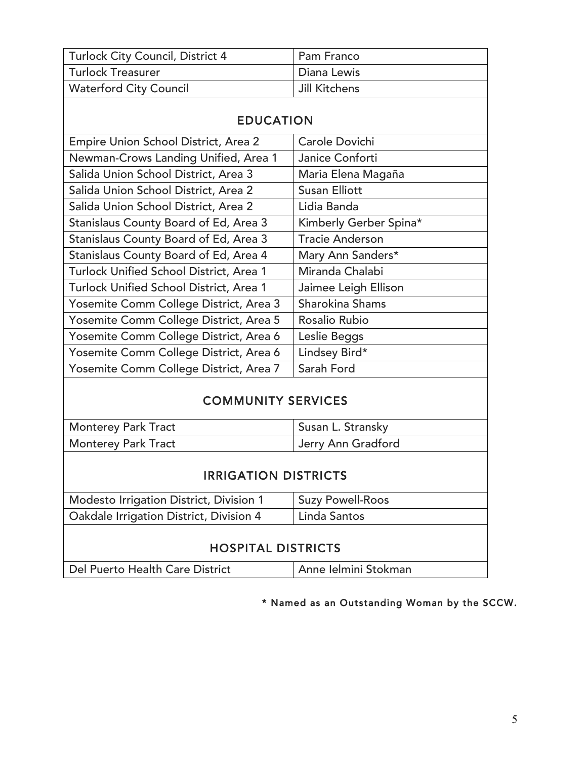| Turlock City Council, District 4 | Pam Franco    |
|----------------------------------|---------------|
| Turlock Treasurer                | Diana Lewis   |
| <b>Waterford City Council</b>    | Jill Kitchens |

| <b>EDUCATION</b>                        |                        |  |
|-----------------------------------------|------------------------|--|
| Empire Union School District, Area 2    | Carole Dovichi         |  |
| Newman-Crows Landing Unified, Area 1    | Janice Conforti        |  |
| Salida Union School District, Area 3    | Maria Elena Magaña     |  |
| Salida Union School District, Area 2    | <b>Susan Elliott</b>   |  |
| Salida Union School District, Area 2    | Lidia Banda            |  |
| Stanislaus County Board of Ed, Area 3   | Kimberly Gerber Spina* |  |
| Stanislaus County Board of Ed, Area 3   | <b>Tracie Anderson</b> |  |
| Stanislaus County Board of Ed, Area 4   | Mary Ann Sanders*      |  |
| Turlock Unified School District, Area 1 | Miranda Chalabi        |  |
| Turlock Unified School District, Area 1 | Jaimee Leigh Ellison   |  |
| Yosemite Comm College District, Area 3  | <b>Sharokina Shams</b> |  |
| Yosemite Comm College District, Area 5  | Rosalio Rubio          |  |
| Yosemite Comm College District, Area 6  | Leslie Beggs           |  |
| Yosemite Comm College District, Area 6  | Lindsey Bird*          |  |
| Yosemite Comm College District, Area 7  | Sarah Ford             |  |

# COMMUNITY SERVICES

| <b>Monterey Park Tract</b> | Susan L. Stransky  |
|----------------------------|--------------------|
| <b>Monterey Park Tract</b> | Jerry Ann Gradford |

## IRRIGATION DISTRICTS

| <b>Suzy Powell-Roos</b>   |  |  |
|---------------------------|--|--|
| Linda Santos              |  |  |
| <b>HOSPITAL DISTRICTS</b> |  |  |
|                           |  |  |

Del Puerto Health Care District | Anne Ielmini Stokman

\* Named as an Outstanding Woman by the SCCW.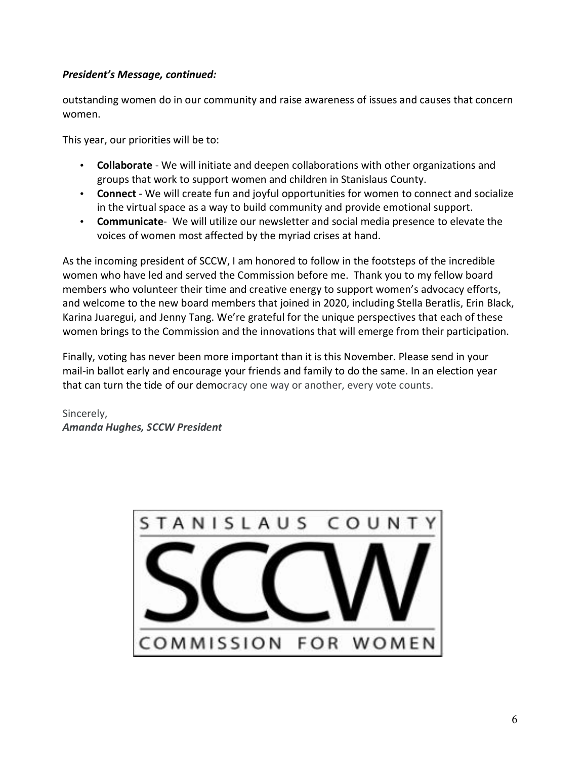#### *President's Message, continued:*

outstanding women do in our community and raise awareness of issues and causes that concern women.

This year, our priorities will be to:

- **Collaborate** We will initiate and deepen collaborations with other organizations and groups that work to support women and children in Stanislaus County.
- **Connect** We will create fun and joyful opportunities for women to connect and socialize in the virtual space as a way to build community and provide emotional support.
- **Communicate** We will utilize our newsletter and social media presence to elevate the voices of women most affected by the myriad crises at hand.

As the incoming president of SCCW, I am honored to follow in the footsteps of the incredible women who have led and served the Commission before me. Thank you to my fellow board members who volunteer their time and creative energy to support women's advocacy efforts, and welcome to the new board members that joined in 2020, including Stella Beratlis, Erin Black, Karina Juaregui, and Jenny Tang. We're grateful for the unique perspectives that each of these women brings to the Commission and the innovations that will emerge from their participation.

Finally, voting has never been more important than it is this November. Please send in your mail-in ballot early and encourage your friends and family to do the same. In an election year that can turn the tide of our democracy one way or another, every vote counts.

Sincerely, *Amanda Hughes, SCCW President*